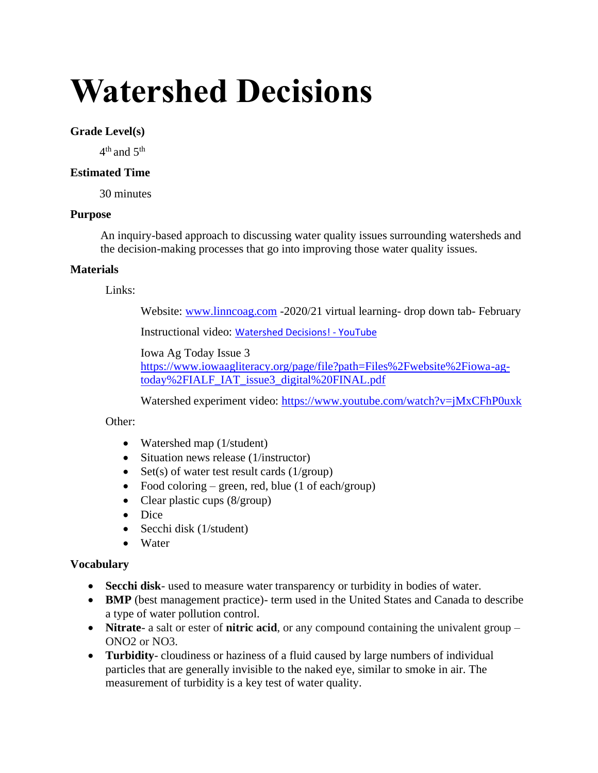# **Watershed Decisions**

## **Grade Level(s)**

 $4^{\text{th}}$  and  $5^{\text{th}}$ 

## **Estimated Time**

30 minutes

## **Purpose**

An inquiry-based approach to discussing water quality issues surrounding watersheds and the decision-making processes that go into improving those water quality issues.

## **Materials**

Links:

Website: [www.linncoag.com](http://www.linncoag.com/) -2020/21 virtual learning- drop down tab- February

Instructional video: [Watershed Decisions! -](https://www.youtube.com/watch?v=zVxqsNJdA68) YouTube

Iowa Ag Today Issue 3 [https://www.iowaagliteracy.org/page/file?path=Files%2Fwebsite%2Fiowa-ag](https://www.iowaagliteracy.org/page/file?path=Files%2Fwebsite%2Fiowa-ag-today%2FIALF_IAT_issue3_digital%20FINAL.pdf)[today%2FIALF\\_IAT\\_issue3\\_digital%20FINAL.pdf](https://www.iowaagliteracy.org/page/file?path=Files%2Fwebsite%2Fiowa-ag-today%2FIALF_IAT_issue3_digital%20FINAL.pdf)

Watershed experiment video:<https://www.youtube.com/watch?v=jMxCFhP0uxk>

# Other:

- Watershed map (1/student)
- Situation news release (1/instructor)
- Set(s) of water test result cards  $(1/\text{group})$
- Food coloring green, red, blue  $(1 \text{ of each/group})$
- Clear plastic cups (8/group)
- Dice
- Secchi disk (1/student)
- Water

# **Vocabulary**

- **Secchi disk** used to measure water transparency or turbidity in bodies of water.
- **BMP** (best management practice)- term used in the United States and Canada to describe a type of water pollution control.
- **Nitrate** a salt or ester of **nitric acid**, or any compound containing the univalent group ONO2 or NO3.
- **Turbidity** cloudiness or haziness of a fluid caused by large numbers of individual particles that are generally invisible to the naked eye, similar to smoke in air. The measurement of turbidity is a key test of water quality.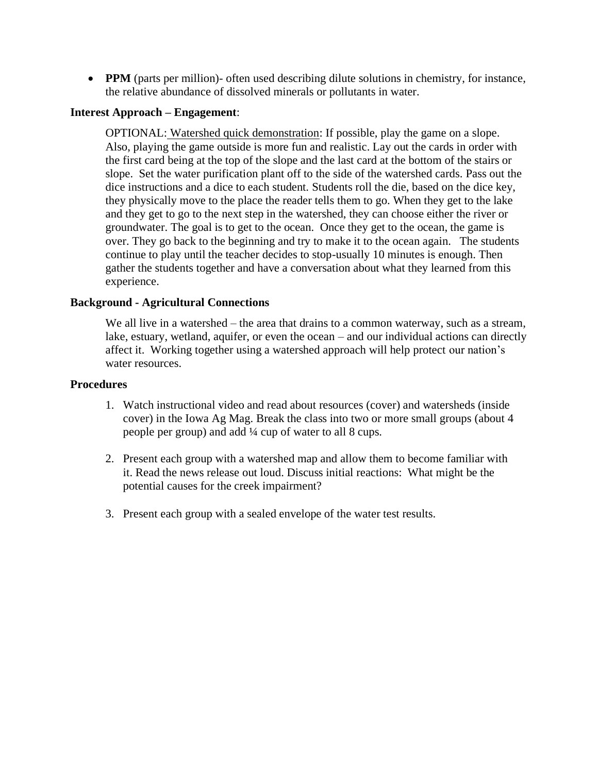• **PPM** (parts per million)- often used describing dilute solutions in chemistry, for instance, the relative abundance of dissolved minerals or pollutants in water.

## **Interest Approach – Engagement**:

OPTIONAL: Watershed quick demonstration: If possible, play the game on a slope. Also, playing the game outside is more fun and realistic. Lay out the cards in order with the first card being at the top of the slope and the last card at the bottom of the stairs or slope. Set the water purification plant off to the side of the watershed cards. Pass out the dice instructions and a dice to each student. Students roll the die, based on the dice key, they physically move to the place the reader tells them to go. When they get to the lake and they get to go to the next step in the watershed, they can choose either the river or groundwater. The goal is to get to the ocean. Once they get to the ocean, the game is over. They go back to the beginning and try to make it to the ocean again. The students continue to play until the teacher decides to stop-usually 10 minutes is enough. Then gather the students together and have a conversation about what they learned from this experience.

#### **Background - Agricultural Connections**

We all live in a watershed – the area that drains to a common waterway, such as a stream, lake, estuary, wetland, aquifer, or even the ocean – and our individual actions can directly affect it. Working together using a watershed approach will help protect our nation's water resources.

#### **Procedures**

- 1. Watch instructional video and read about resources (cover) and watersheds (inside cover) in the Iowa Ag Mag. Break the class into two or more small groups (about 4 people per group) and add ¼ cup of water to all 8 cups.
- 2. Present each group with a watershed map and allow them to become familiar with it. Read the news release out loud. Discuss initial reactions: What might be the potential causes for the creek impairment?
- 3. Present each group with a sealed envelope of the water test results.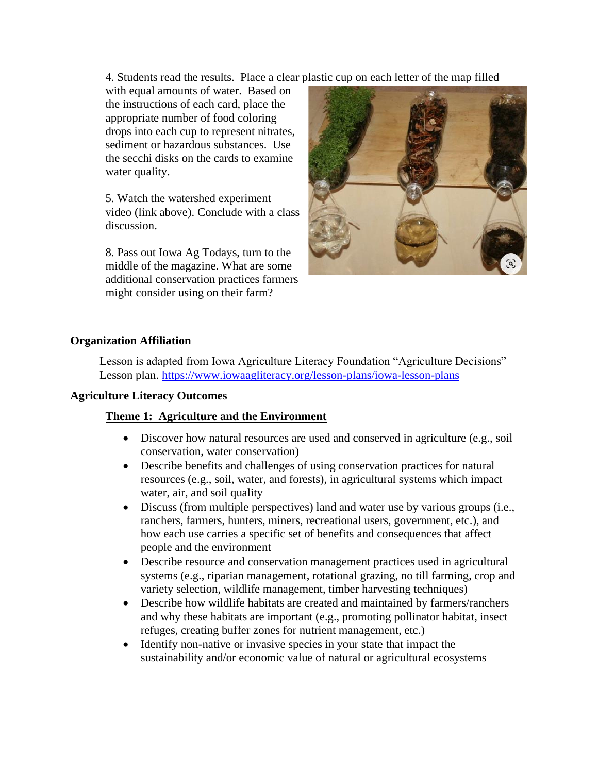4. Students read the results. Place a clear plastic cup on each letter of the map filled

with equal amounts of water. Based on the instructions of each card, place the appropriate number of food coloring drops into each cup to represent nitrates, sediment or hazardous substances. Use the secchi disks on the cards to examine water quality.

5. Watch the watershed experiment video (link above). Conclude with a class discussion.

8. Pass out Iowa Ag Todays, turn to the middle of the magazine. What are some additional conservation practices farmers might consider using on their farm?



## **Organization Affiliation**

Lesson is adapted from Iowa Agriculture Literacy Foundation "Agriculture Decisions" Lesson plan.<https://www.iowaagliteracy.org/lesson-plans/iowa-lesson-plans>

#### **Agriculture Literacy Outcomes**

#### **Theme 1: Agriculture and the Environment**

- Discover how natural resources are used and conserved in agriculture (e.g., soil conservation, water conservation)
- Describe benefits and challenges of using conservation practices for natural resources (e.g., soil, water, and forests), in agricultural systems which impact water, air, and soil quality
- Discuss (from multiple perspectives) land and water use by various groups (i.e., ranchers, farmers, hunters, miners, recreational users, government, etc.), and how each use carries a specific set of benefits and consequences that affect people and the environment
- Describe resource and conservation management practices used in agricultural systems (e.g., riparian management, rotational grazing, no till farming, crop and variety selection, wildlife management, timber harvesting techniques)
- Describe how wildlife habitats are created and maintained by farmers/ranchers and why these habitats are important (e.g., promoting pollinator habitat, insect refuges, creating buffer zones for nutrient management, etc.)
- Identify non-native or invasive species in your state that impact the sustainability and/or economic value of natural or agricultural ecosystems